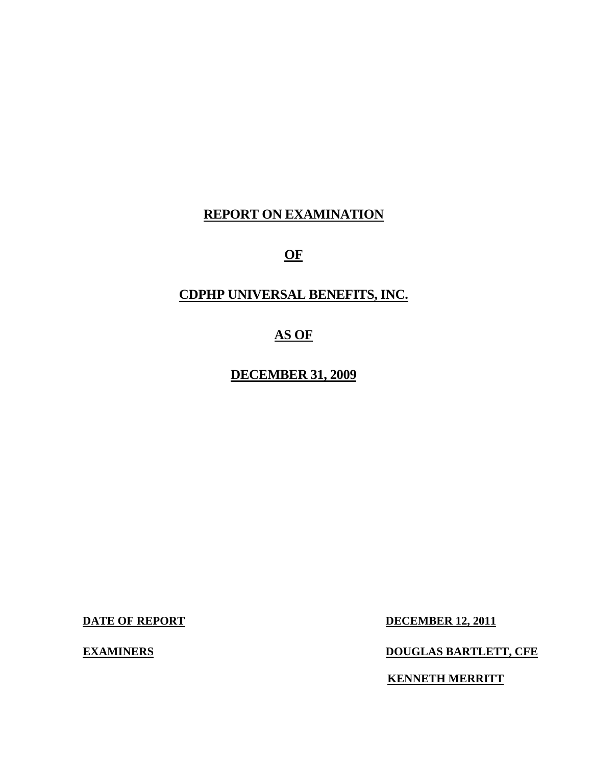# **REPORT ON EXAMINATION**

# **OF**

# **CDPHP UNIVERSAL BENEFITS, INC.**

# **AS OF**

**DECEMBER 31, 2009** 

**DATE OF REPORT DECEMBER 12, 2011** 

**EXAMINERS** 

**EXAMPLE BARTLETT, CFE** 

**KENNETH MERRITT**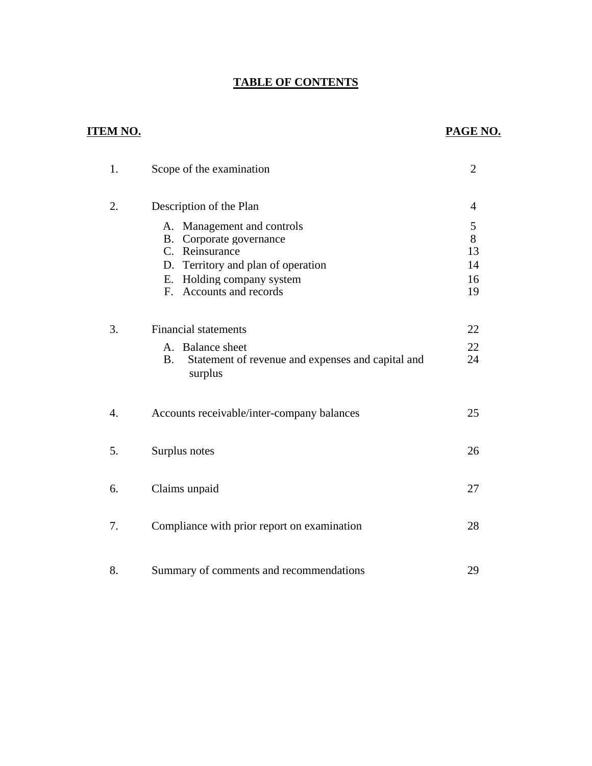# **TABLE OF CONTENTS**

# **ITEM NO.**

# **PAGE NO.**

| 1. | Scope of the examination                                                                                                                                                                    | $\overline{2}$                 |
|----|---------------------------------------------------------------------------------------------------------------------------------------------------------------------------------------------|--------------------------------|
| 2. | Description of the Plan                                                                                                                                                                     | 4                              |
|    | A. Management and controls<br>Corporate governance<br><b>B.</b><br>C. Reinsurance<br>D. Territory and plan of operation<br>E. Holding company system<br>Accounts and records<br>$F_{\cdot}$ | 5<br>8<br>13<br>14<br>16<br>19 |
| 3. | <b>Financial statements</b>                                                                                                                                                                 | 22                             |
|    | A. Balance sheet<br>Statement of revenue and expenses and capital and<br>B.<br>surplus                                                                                                      | 22<br>24                       |
| 4. | Accounts receivable/inter-company balances                                                                                                                                                  | 25                             |
| 5. | Surplus notes                                                                                                                                                                               | 26                             |
| 6. | Claims unpaid                                                                                                                                                                               | 27                             |
| 7. | Compliance with prior report on examination                                                                                                                                                 | 28                             |
| 8. | Summary of comments and recommendations                                                                                                                                                     | 29                             |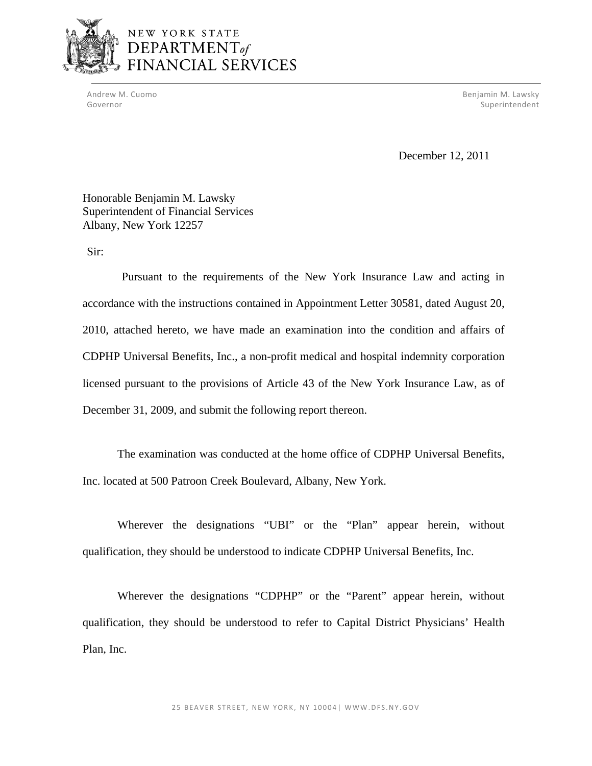

Andrew M. Cuomo **Benjamin M. Lawsky** Governor Superintendent Controller Controller Controller Controller Controller Controller Controller Controller

December 12, 2011

Honorable Benjamin M. Lawsky Superintendent of Financial Services Albany, New York 12257

Sir:

Pursuant to the requirements of the New York Insurance Law and acting in accordance with the instructions contained in Appointment Letter 30581, dated August 20, 2010, attached hereto, we have made an examination into the condition and affairs of CDPHP Universal Benefits, Inc., a non-profit medical and hospital indemnity corporation licensed pursuant to the provisions of Article 43 of the New York Insurance Law, as of December 31, 2009, and submit the following report thereon.

The examination was conducted at the home office of CDPHP Universal Benefits, Inc. located at 500 Patroon Creek Boulevard, Albany, New York.

Wherever the designations "UBI" or the "Plan" appear herein, without qualification, they should be understood to indicate CDPHP Universal Benefits, Inc.

Wherever the designations "CDPHP" or the "Parent" appear herein, without qualification, they should be understood to refer to Capital District Physicians' Health Plan, Inc.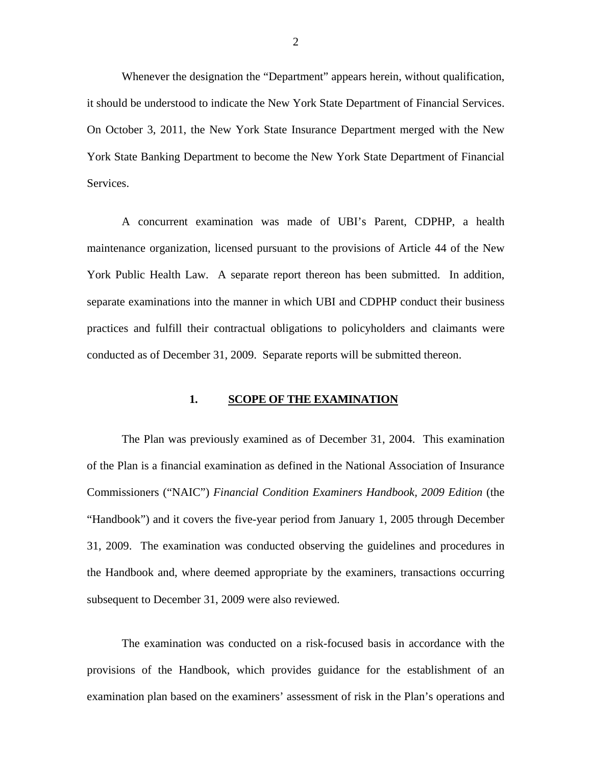Whenever the designation the "Department" appears herein, without qualification, it should be understood to indicate the New York State Department of Financial Services. On October 3, 2011, the New York State Insurance Department merged with the New York State Banking Department to become the New York State Department of Financial Services.

A concurrent examination was made of UBI's Parent, CDPHP, a health maintenance organization, licensed pursuant to the provisions of Article 44 of the New York Public Health Law. A separate report thereon has been submitted. In addition, separate examinations into the manner in which UBI and CDPHP conduct their business practices and fulfill their contractual obligations to policyholders and claimants were conducted as of December 31, 2009. Separate reports will be submitted thereon.

# **1. SCOPE OF THE EXAMINATION**

The Plan was previously examined as of December 31, 2004. This examination of the Plan is a financial examination as defined in the National Association of Insurance Commissioners ("NAIC") *Financial Condition Examiners Handbook, 2009 Edition* (the "Handbook") and it covers the five-year period from January 1, 2005 through December 31, 2009. The examination was conducted observing the guidelines and procedures in the Handbook and, where deemed appropriate by the examiners, transactions occurring subsequent to December 31, 2009 were also reviewed.

The examination was conducted on a risk-focused basis in accordance with the provisions of the Handbook, which provides guidance for the establishment of an examination plan based on the examiners' assessment of risk in the Plan's operations and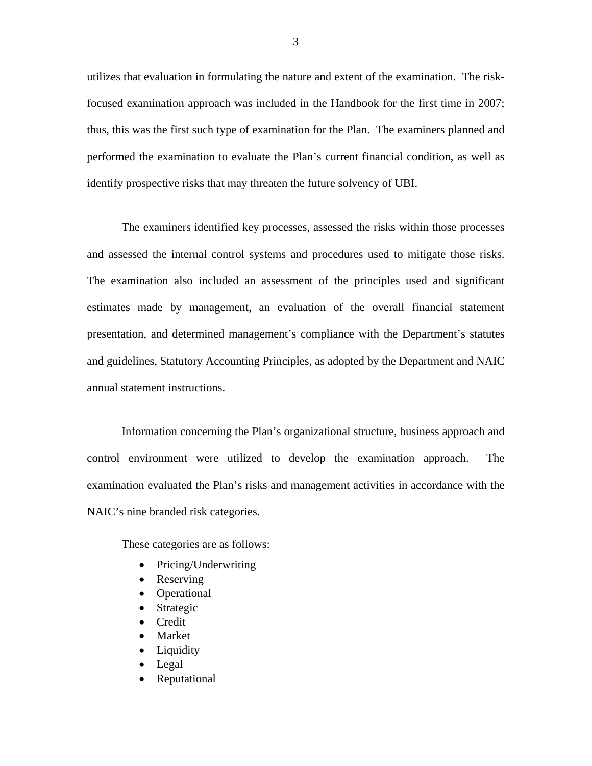utilizes that evaluation in formulating the nature and extent of the examination. The riskfocused examination approach was included in the Handbook for the first time in 2007; thus, this was the first such type of examination for the Plan. The examiners planned and performed the examination to evaluate the Plan's current financial condition, as well as identify prospective risks that may threaten the future solvency of UBI.

The examiners identified key processes, assessed the risks within those processes and assessed the internal control systems and procedures used to mitigate those risks. The examination also included an assessment of the principles used and significant estimates made by management, an evaluation of the overall financial statement presentation, and determined management's compliance with the Department's statutes and guidelines, Statutory Accounting Principles, as adopted by the Department and NAIC annual statement instructions.

Information concerning the Plan's organizational structure, business approach and control environment were utilized to develop the examination approach. The examination evaluated the Plan's risks and management activities in accordance with the NAIC's nine branded risk categories.

These categories are as follows:

- Pricing/Underwriting
- Reserving
- Operational
- Strategic
- Credit
- Market
- Liquidity
- Legal
- Reputational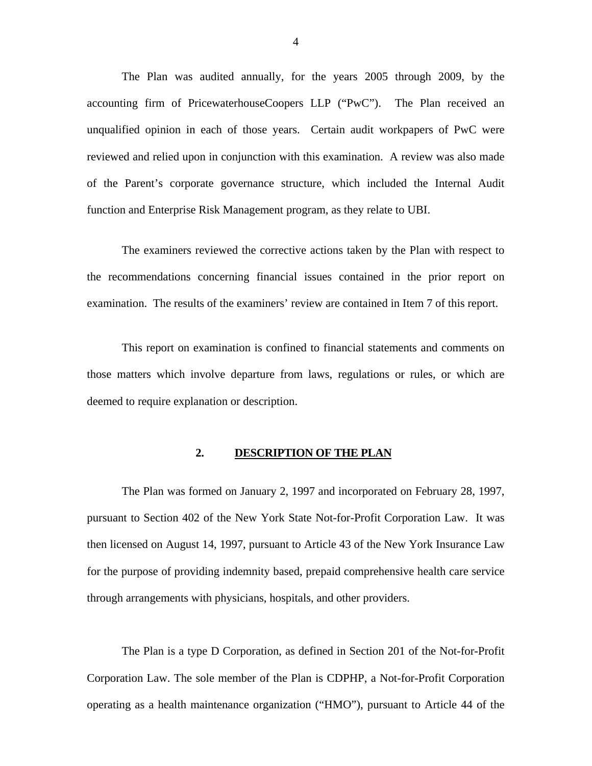<span id="page-5-0"></span>The Plan was audited annually, for the years 2005 through 2009, by the accounting firm of PricewaterhouseCoopers LLP ("PwC"). The Plan received an unqualified opinion in each of those years. Certain audit workpapers of PwC were reviewed and relied upon in conjunction with this examination. A review was also made of the Parent's corporate governance structure, which included the Internal Audit function and Enterprise Risk Management program, as they relate to UBI.

The examiners reviewed the corrective actions taken by the Plan with respect to the recommendations concerning financial issues contained in the prior report on examination. The results of the examiners' review are contained in Item 7 of this report.

This report on examination is confined to financial statements and comments on those matters which involve departure from laws, regulations or rules, or which are deemed to require explanation or description.

## **2. DESCRIPTION OF THE PLAN**

The Plan was formed on January 2, 1997 and incorporated on February 28, 1997, pursuant to Section 402 of the New York State Not-for-Profit Corporation Law. It was then licensed on August 14, 1997, pursuant to Article 43 of the New York Insurance Law for the purpose of providing indemnity based, prepaid comprehensive health care service through arrangements with physicians, hospitals, and other providers.

The Plan is a type D Corporation, as defined in Section 201 of the Not-for-Profit Corporation Law. The sole member of the Plan is CDPHP, a Not-for-Profit Corporation operating as a health maintenance organization ("HMO"), pursuant to Article 44 of the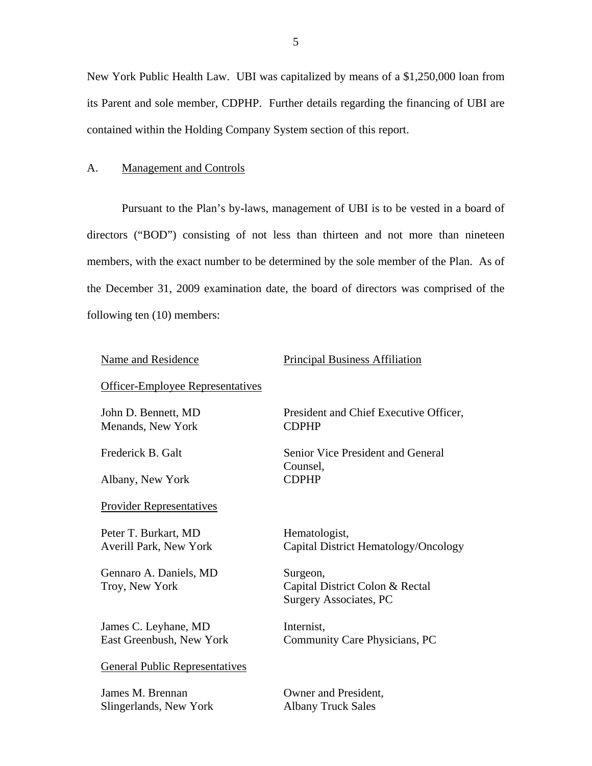<span id="page-6-0"></span>New York Public Health Law. UBI was capitalized by means of a \$1,250,000 loan from its Parent and sole member, CDPHP. Further details regarding the financing of UBI are contained within the Holding Company System section of this report.

#### A. Management and Controls

Pursuant to the Plan's by-laws, management of UBI is to be vested in a board of directors ("BOD") consisting of not less than thirteen and not more than nineteen members, with the exact number to be determined by the sole member of the Plan. As of the December 31, 2009 examination date, the board of directors was comprised of the following ten (10) members:

#### Name and Residence

#### Principal Business Affiliation

# Officer-Employee Representatives John D. Bennett, MD

Menands, New York

Frederick B. Galt

Albany, New York

Provider Representatives<br>Peter T. Burkart, MD

Averill Park, New York

Gennaro A. Daniels, MD Troy, New York

James C. Leyhane, MD East Greenbush, New York

General Public Representatives James M. Brennan

Slingerlands, New York

President and Chief Executive Officer, CDPHP

Senior Vice President and General Counsel, CDPHP

Hematologist, Capital District Hematology/Oncology

Surgeon, Capital District Colon & Rectal Surgery Associates, PC

Internist, Community Care Physicians, PC

Owner and President, Albany Truck Sales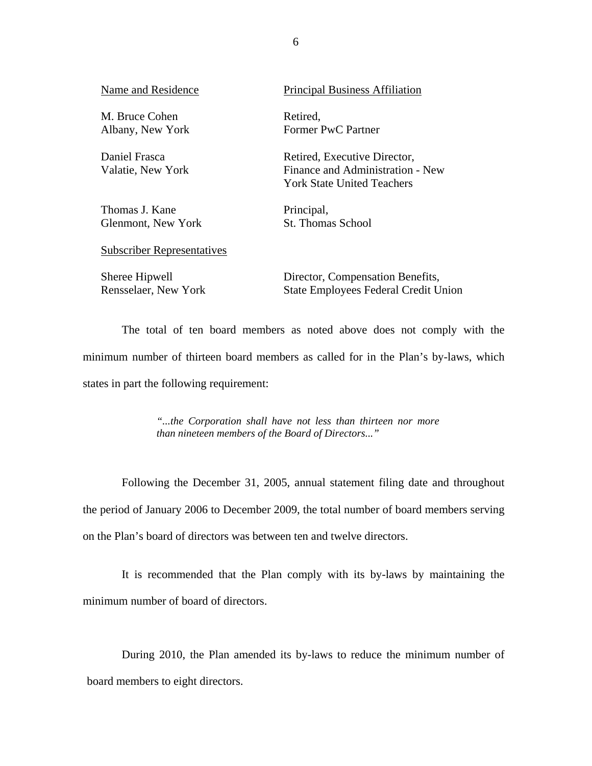Name and Residence

M. Bruce Cohen Albany, New York

Daniel Frasca Valatie, New York

Thomas J. Kane Glenmont, New York Principal Business Affiliation

Retired, Former PwC Partner

Retired, Executive Director, Finance and Administration - New York State United Teachers

Principal, St. Thomas School

Subscriber Representatives Sheree Hipwell

Rensselaer, New York

Director, Compensation Benefits, State Employees Federal Credit Union

The total of ten board members as noted above does not comply with the minimum number of thirteen board members as called for in the Plan's by-laws, which states in part the following requirement:

> *"...the Corporation shall have not less than thirteen nor more than nineteen members of the Board of Directors..."*

Following the December 31, 2005, annual statement filing date and throughout the period of January 2006 to December 2009, the total number of board members serving on the Plan's board of directors was between ten and twelve directors.

It is recommended that the Plan comply with its by-laws by maintaining the minimum number of board of directors.

During 2010, the Plan amended its by-laws to reduce the minimum number of board members to eight directors.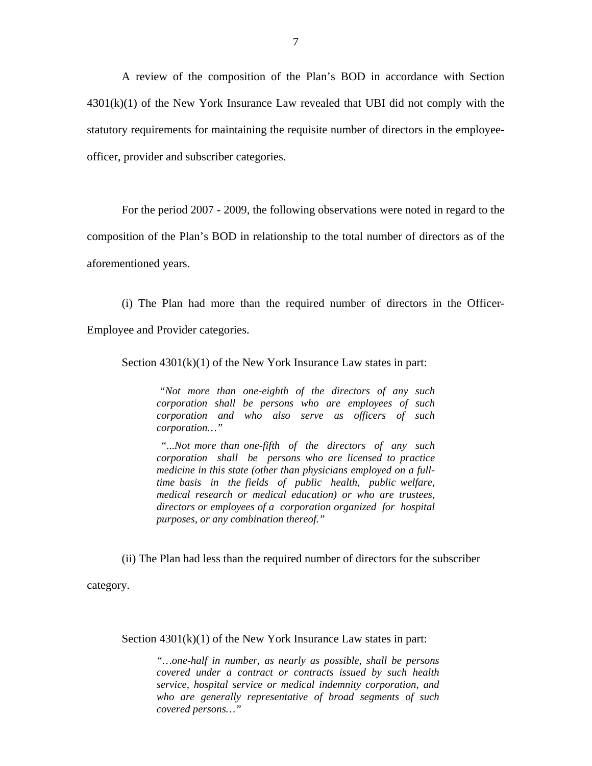A review of the composition of the Plan's BOD in accordance with Section  $4301(k)(1)$  of the New York Insurance Law revealed that UBI did not comply with the statutory requirements for maintaining the requisite number of directors in the employeeofficer, provider and subscriber categories.

For the period 2007 - 2009, the following observations were noted in regard to the

composition of the Plan's BOD in relationship to the total number of directors as of the

aforementioned years.

(i) The Plan had more than the required number of directors in the Officer-

Employee and Provider categories.

Section  $4301(k)(1)$  of the New York Insurance Law states in part:

*"Not more than one-eighth of the directors of any such corporation shall be persons who are employees of such corporation and who also serve as officers of such corporation…"* 

 *corporation shall be persons who are licensed to practice directors or employees of a corporation organized for hospital purposes, or any combination thereof." "...Not more than one-fifth of the directors of any such medicine in this state (other than physicians employed on a fulltime basis in the fields of public health, public welfare, medical research or medical education) or who are trustees,* 

(ii) The Plan had less than the required number of directors for the subscriber

category.

Section  $4301(k)(1)$  of the New York Insurance Law states in part:

*"…one-half in number, as nearly as possible, shall be persons covered under a contract or contracts issued by such health service, hospital service or medical indemnity corporation, and who are generally representative of broad segments of such covered persons…"*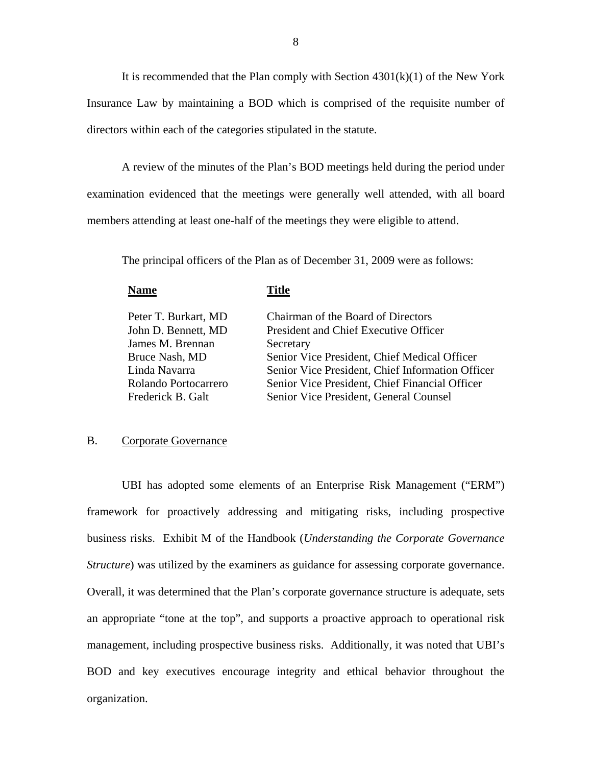<span id="page-9-0"></span>It is recommended that the Plan comply with Section  $4301(k)(1)$  of the New York Insurance Law by maintaining a BOD which is comprised of the requisite number of directors within each of the categories stipulated in the statute.

A review of the minutes of the Plan's BOD meetings held during the period under examination evidenced that the meetings were generally well attended, with all board members attending at least one-half of the meetings they were eligible to attend.

The principal officers of the Plan as of December 31, 2009 were as follows:

| <b>Name</b>          | Fitle                                            |
|----------------------|--------------------------------------------------|
| Peter T. Burkart, MD | Chairman of the Board of Directors               |
| John D. Bennett, MD  | President and Chief Executive Officer            |
| James M. Brennan     | Secretary                                        |
| Bruce Nash, MD       | Senior Vice President, Chief Medical Officer     |
| Linda Navarra        | Senior Vice President, Chief Information Officer |
| Rolando Portocarrero | Senior Vice President, Chief Financial Officer   |
| Frederick B. Galt    | Senior Vice President, General Counsel           |

## B. Corporate Governance

UBI has adopted some elements of an Enterprise Risk Management ("ERM") framework for proactively addressing and mitigating risks, including prospective business risks. Exhibit M of the Handbook (*Understanding the Corporate Governance Structure*) was utilized by the examiners as guidance for assessing corporate governance. Overall, it was determined that the Plan's corporate governance structure is adequate, sets an appropriate "tone at the top", and supports a proactive approach to operational risk management, including prospective business risks. Additionally, it was noted that UBI's BOD and key executives encourage integrity and ethical behavior throughout the organization.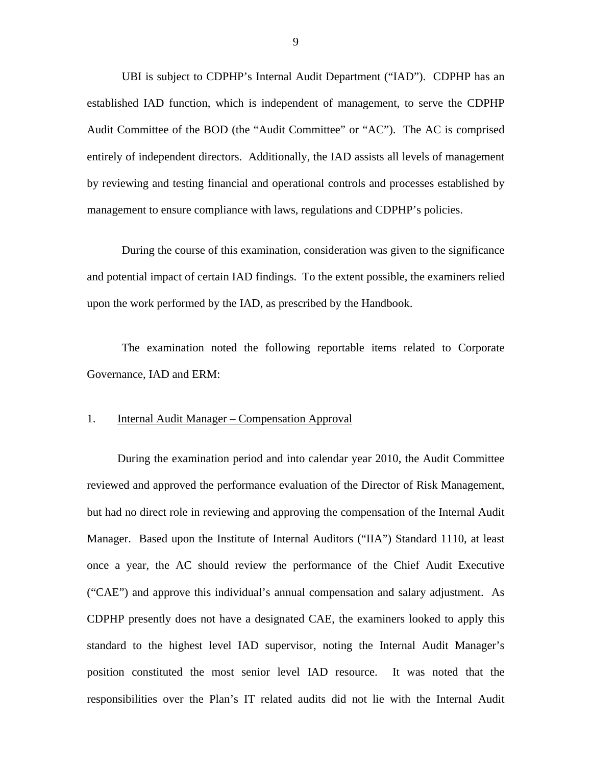UBI is subject to CDPHP's Internal Audit Department ("IAD"). CDPHP has an established IAD function, which is independent of management, to serve the CDPHP Audit Committee of the BOD (the "Audit Committee" or "AC"). The AC is comprised entirely of independent directors. Additionally, the IAD assists all levels of management by reviewing and testing financial and operational controls and processes established by management to ensure compliance with laws, regulations and CDPHP's policies.

During the course of this examination, consideration was given to the significance and potential impact of certain IAD findings. To the extent possible, the examiners relied upon the work performed by the IAD, as prescribed by the Handbook.

The examination noted the following reportable items related to Corporate Governance, IAD and ERM:

## 1. Internal Audit Manager – Compensation Approval

During the examination period and into calendar year 2010, the Audit Committee reviewed and approved the performance evaluation of the Director of Risk Management, but had no direct role in reviewing and approving the compensation of the Internal Audit Manager. Based upon the Institute of Internal Auditors ("IIA") Standard 1110, at least once a year, the AC should review the performance of the Chief Audit Executive ("CAE") and approve this individual's annual compensation and salary adjustment. As CDPHP presently does not have a designated CAE, the examiners looked to apply this standard to the highest level IAD supervisor, noting the Internal Audit Manager's position constituted the most senior level IAD resource. It was noted that the responsibilities over the Plan's IT related audits did not lie with the Internal Audit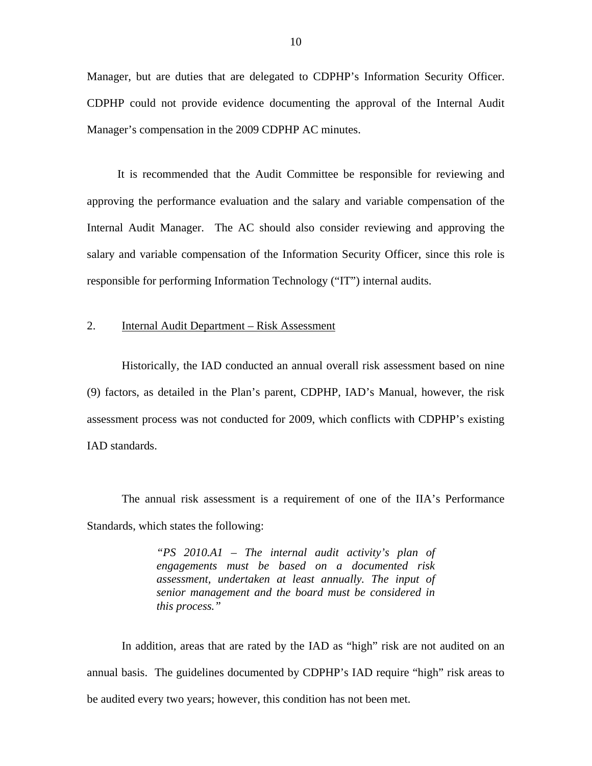Manager, but are duties that are delegated to CDPHP's Information Security Officer. CDPHP could not provide evidence documenting the approval of the Internal Audit Manager's compensation in the 2009 CDPHP AC minutes.

It is recommended that the Audit Committee be responsible for reviewing and approving the performance evaluation and the salary and variable compensation of the Internal Audit Manager. The AC should also consider reviewing and approving the salary and variable compensation of the Information Security Officer, since this role is responsible for performing Information Technology ("IT") internal audits.

# 2. Internal Audit Department – Risk Assessment

Historically, the IAD conducted an annual overall risk assessment based on nine (9) factors, as detailed in the Plan's parent, CDPHP, IAD's Manual, however, the risk assessment process was not conducted for 2009, which conflicts with CDPHP's existing IAD standards.

The annual risk assessment is a requirement of one of the IIA's Performance Standards, which states the following:

> *"PS 2010.A1 – The internal audit activity's plan of engagements must be based on a documented risk assessment, undertaken at least annually. The input of senior management and the board must be considered in this process."*

In addition, areas that are rated by the IAD as "high" risk are not audited on an annual basis. The guidelines documented by CDPHP's IAD require "high" risk areas to be audited every two years; however, this condition has not been met.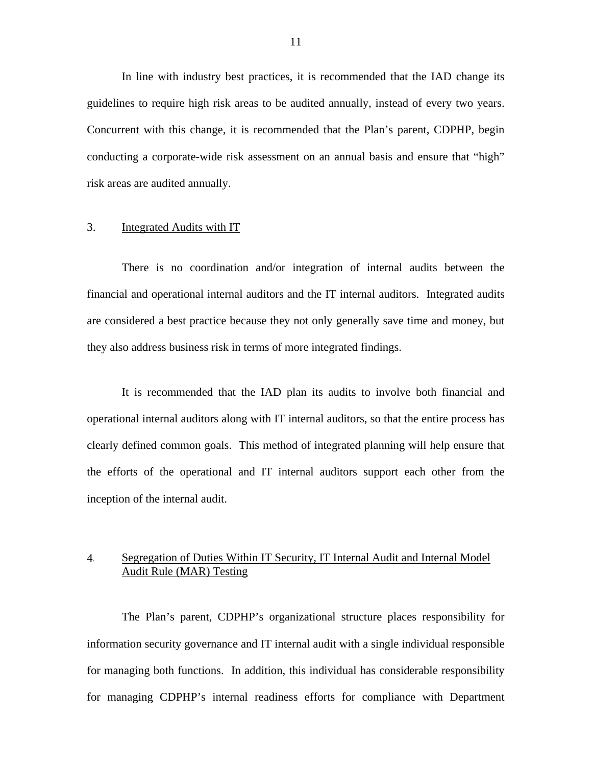In line with industry best practices, it is recommended that the IAD change its guidelines to require high risk areas to be audited annually, instead of every two years. Concurrent with this change, it is recommended that the Plan's parent, CDPHP, begin conducting a corporate-wide risk assessment on an annual basis and ensure that "high" risk areas are audited annually.

# 3. Integrated Audits with IT

There is no coordination and/or integration of internal audits between the financial and operational internal auditors and the IT internal auditors. Integrated audits are considered a best practice because they not only generally save time and money, but they also address business risk in terms of more integrated findings.

It is recommended that the IAD plan its audits to involve both financial and operational internal auditors along with IT internal auditors, so that the entire process has clearly defined common goals. This method of integrated planning will help ensure that the efforts of the operational and IT internal auditors support each other from the inception of the internal audit.

# 4. Segregation of Duties Within IT Security, IT Internal Audit and Internal Model Audit Rule (MAR) Testing

The Plan's parent, CDPHP's organizational structure places responsibility for information security governance and IT internal audit with a single individual responsible for managing both functions. In addition, this individual has considerable responsibility for managing CDPHP's internal readiness efforts for compliance with Department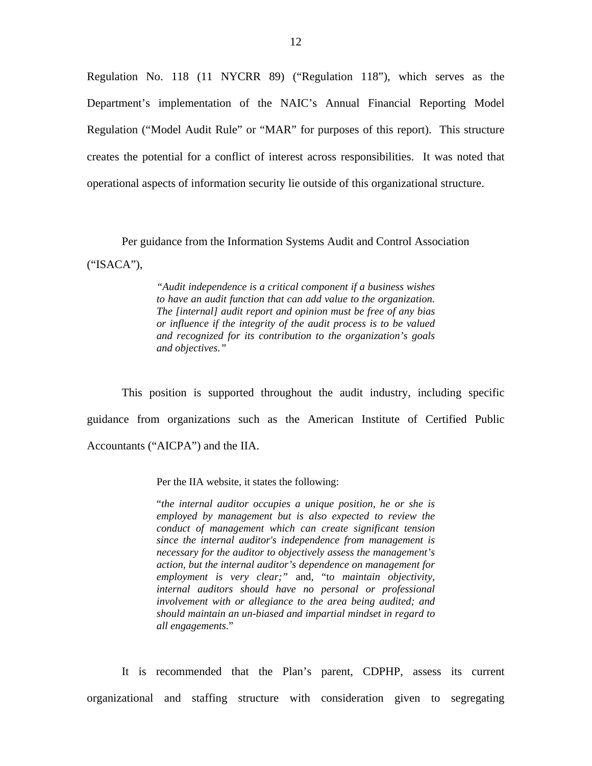Regulation No. 118 (11 NYCRR 89) ("Regulation 118"), which serves as the Department's implementation of the NAIC's Annual Financial Reporting Model Regulation ("Model Audit Rule" or "MAR" for purposes of this report). This structure creates the potential for a conflict of interest across responsibilities. It was noted that operational aspects of information security lie outside of this organizational structure.

Per guidance from the Information Systems Audit and Control Association ("ISACA"),

> *and objectives." "Audit independence is a critical component if a business wishes to have an audit function that can add value to the organization. The [internal] audit report and opinion must be free of any bias or influence if the integrity of the audit process is to be valued and recognized for its contribution to the organization's goals*

This position is supported throughout the audit industry, including specific guidance from organizations such as the American Institute of Certified Public Accountants ("AICPA") and the IIA.

Per the IIA website, it states the following:

"*the internal auditor occupies a unique position, he or she is employed by management but is also expected to review the conduct of management which can create significant tension since the internal auditor's independence from management is necessary for the auditor to objectively assess the management's action, but the internal auditor's dependence on management for employment is very clear;"* and, "t*o maintain objectivity, internal auditors should have no personal or professional involvement with or allegiance to the area being audited; and should maintain an un-biased and impartial mindset in regard to all engagements*."

It is recommended that the Plan's parent, CDPHP, assess its current organizational and staffing structure with consideration given to segregating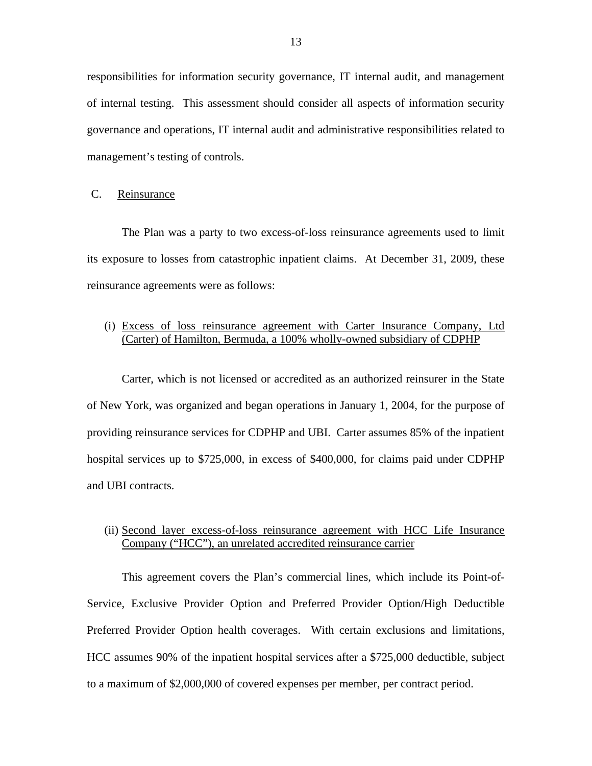<span id="page-14-0"></span>responsibilities for information security governance, IT internal audit, and management of internal testing. This assessment should consider all aspects of information security governance and operations, IT internal audit and administrative responsibilities related to management's testing of controls.

C. Reinsurance

The Plan was a party to two excess-of-loss reinsurance agreements used to limit its exposure to losses from catastrophic inpatient claims. At December 31, 2009, these reinsurance agreements were as follows:

# (i) Excess of loss reinsurance agreement with Carter Insurance Company, Ltd (Carter) of Hamilton, Bermuda, a 100% wholly-owned subsidiary of CDPHP

Carter, which is not licensed or accredited as an authorized reinsurer in the State of New York, was organized and began operations in January 1, 2004, for the purpose of providing reinsurance services for CDPHP and UBI. Carter assumes 85% of the inpatient hospital services up to \$725,000, in excess of \$400,000, for claims paid under CDPHP and UBI contracts.

# (ii) Second layer excess-of-loss reinsurance agreement with HCC Life Insurance Company ("HCC"), an unrelated accredited reinsurance carrier

This agreement covers the Plan's commercial lines, which include its Point-of-Service, Exclusive Provider Option and Preferred Provider Option/High Deductible Preferred Provider Option health coverages. With certain exclusions and limitations, HCC assumes 90% of the inpatient hospital services after a \$725,000 deductible, subject to a maximum of \$2,000,000 of covered expenses per member, per contract period.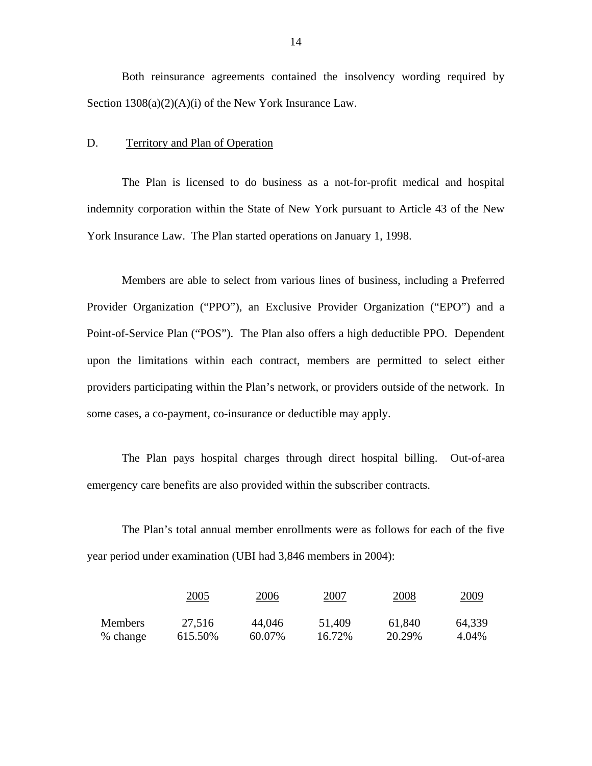Both reinsurance agreements contained the insolvency wording required by Section 1308(a)(2)(A)(i) of the New York Insurance Law.

#### D. Territory and Plan of Operation

The Plan is licensed to do business as a not-for-profit medical and hospital indemnity corporation within the State of New York pursuant to Article 43 of the New York Insurance Law. The Plan started operations on January 1, 1998.

Members are able to select from various lines of business, including a Preferred Provider Organization ("PPO"), an Exclusive Provider Organization ("EPO") and a Point-of-Service Plan ("POS"). The Plan also offers a high deductible PPO. Dependent upon the limitations within each contract, members are permitted to select either providers participating within the Plan's network, or providers outside of the network. In some cases, a co-payment, co-insurance or deductible may apply.

The Plan pays hospital charges through direct hospital billing. Out-of-area emergency care benefits are also provided within the subscriber contracts.

The Plan's total annual member enrollments were as follows for each of the five year period under examination (UBI had 3,846 members in 2004):

|                | 2005    | 2006   | 2007   | 2008   | <u>2009</u> |
|----------------|---------|--------|--------|--------|-------------|
| <b>Members</b> | 27,516  | 44,046 | 51,409 | 61,840 | 64,339      |
| % change       | 615.50% | 60.07% | 16.72% | 20.29% | 4.04%       |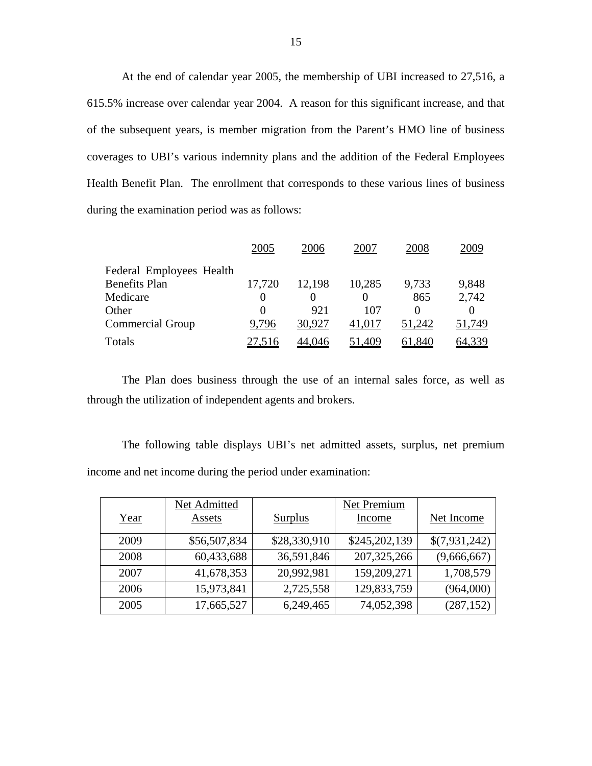At the end of calendar year 2005, the membership of UBI increased to 27,516, a 615.5% increase over calendar year 2004. A reason for this significant increase, and that of the subsequent years, is member migration from the Parent's HMO line of business coverages to UBI's various indemnity plans and the addition of the Federal Employees Health Benefit Plan. The enrollment that corresponds to these various lines of business during the examination period was as follows:

|                          | 2005         | 2006   | 2007   | 2008   | 2009   |
|--------------------------|--------------|--------|--------|--------|--------|
| Federal Employees Health |              |        |        |        |        |
| <b>Benefits Plan</b>     | 17,720       | 12,198 | 10,285 | 9,733  | 9,848  |
| Medicare                 |              |        | 0      | 865    | 2,742  |
| Other                    | $\mathbf{0}$ | 921    | 107    |        |        |
| <b>Commercial Group</b>  | 9,796        | 30,927 | 41,017 | 51,242 | 51,749 |
| Totals                   |              | 4.046  | .409   | .840   |        |

The Plan does business through the use of an internal sales force, as well as through the utilization of independent agents and brokers.

The following table displays UBI's net admitted assets, surplus, net premium income and net income during the period under examination:

|      | Net Admitted |                | Net Premium   |               |
|------|--------------|----------------|---------------|---------------|
| Year | Assets       | <b>Surplus</b> | Income        | Net Income    |
| 2009 | \$56,507,834 | \$28,330,910   | \$245,202,139 | \$(7,931,242) |
| 2008 | 60,433,688   | 36,591,846     | 207, 325, 266 | (9,666,667)   |
| 2007 | 41,678,353   | 20,992,981     | 159,209,271   | 1,708,579     |
| 2006 | 15,973,841   | 2,725,558      | 129,833,759   | (964,000)     |
| 2005 | 17,665,527   | 6,249,465      | 74,052,398    | (287, 152)    |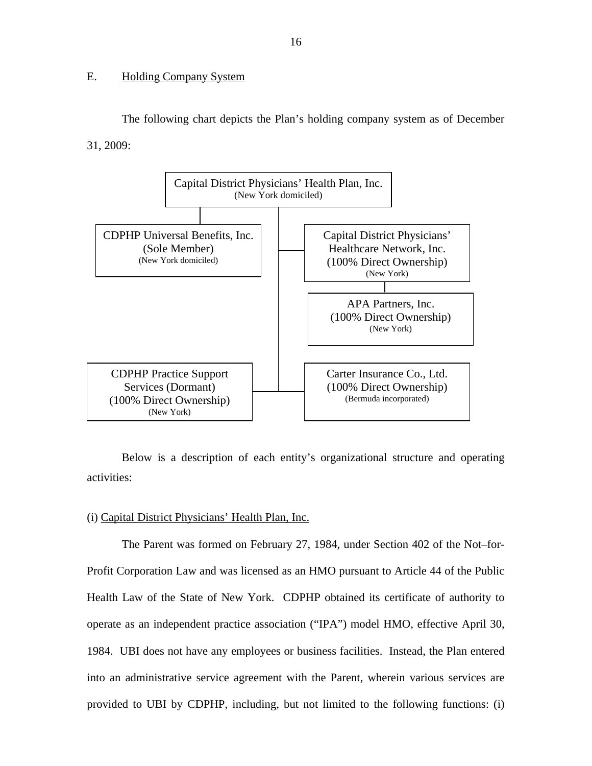# <span id="page-17-0"></span>E. Holding Company System

The following chart depicts the Plan's holding company system as of December 31, 2009:



Below is a description of each entity's organizational structure and operating activities:

# (i) Capital District Physicians' Health Plan, Inc.

The Parent was formed on February 27, 1984, under Section 402 of the Not–for-Profit Corporation Law and was licensed as an HMO pursuant to Article 44 of the Public Health Law of the State of New York. CDPHP obtained its certificate of authority to operate as an independent practice association ("IPA") model HMO, effective April 30, 1984. UBI does not have any employees or business facilities. Instead, the Plan entered into an administrative service agreement with the Parent, wherein various services are provided to UBI by CDPHP, including, but not limited to the following functions: (i)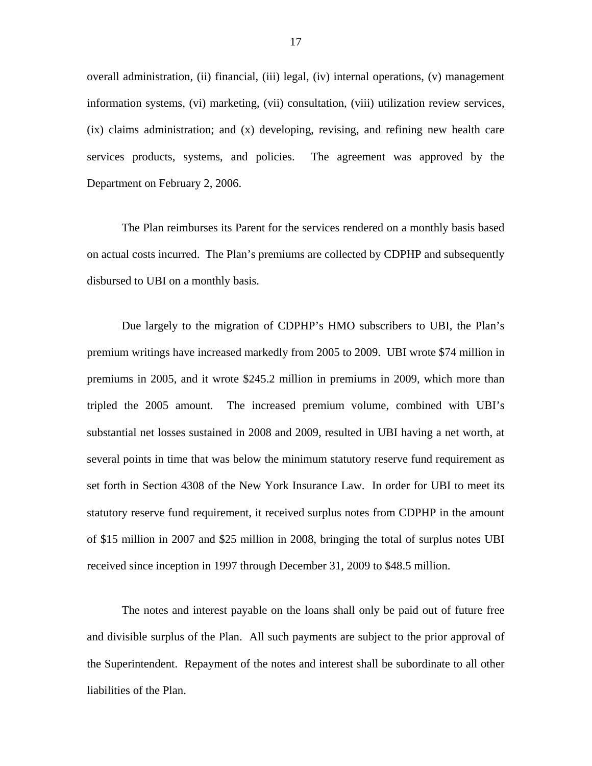overall administration, (ii) financial, (iii) legal, (iv) internal operations, (v) management information systems, (vi) marketing, (vii) consultation, (viii) utilization review services, (ix) claims administration; and (x) developing, revising, and refining new health care services products, systems, and policies. The agreement was approved by the Department on February 2, 2006.

The Plan reimburses its Parent for the services rendered on a monthly basis based on actual costs incurred. The Plan's premiums are collected by CDPHP and subsequently disbursed to UBI on a monthly basis.

Due largely to the migration of CDPHP's HMO subscribers to UBI, the Plan's premium writings have increased markedly from 2005 to 2009. UBI wrote \$74 million in premiums in 2005, and it wrote \$245.2 million in premiums in 2009, which more than tripled the 2005 amount. The increased premium volume, combined with UBI's substantial net losses sustained in 2008 and 2009, resulted in UBI having a net worth, at several points in time that was below the minimum statutory reserve fund requirement as set forth in Section 4308 of the New York Insurance Law. In order for UBI to meet its statutory reserve fund requirement, it received surplus notes from CDPHP in the amount of \$15 million in 2007 and \$25 million in 2008, bringing the total of surplus notes UBI received since inception in 1997 through December 31, 2009 to \$48.5 million.

The notes and interest payable on the loans shall only be paid out of future free and divisible surplus of the Plan. All such payments are subject to the prior approval of the Superintendent. Repayment of the notes and interest shall be subordinate to all other liabilities of the Plan.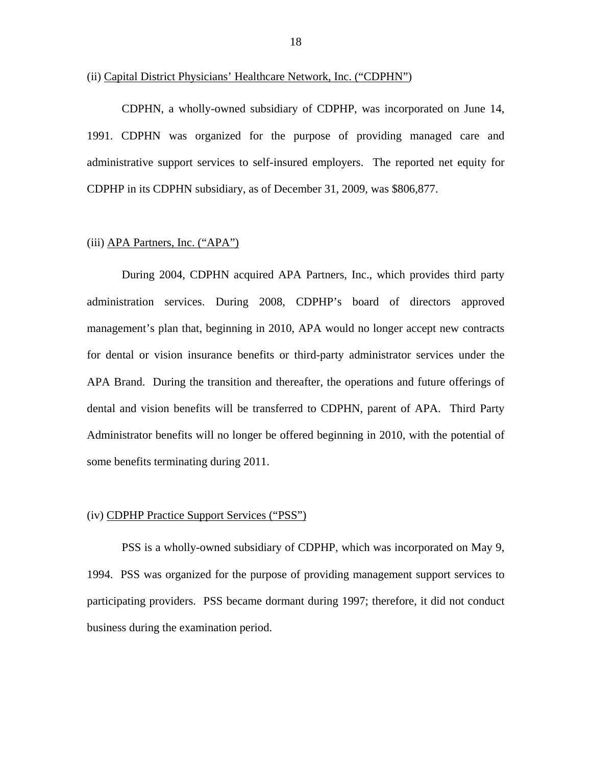#### (ii) Capital District Physicians' Healthcare Network, Inc. ("CDPHN")

CDPHN, a wholly-owned subsidiary of CDPHP, was incorporated on June 14, 1991. CDPHN was organized for the purpose of providing managed care and administrative support services to self-insured employers. The reported net equity for CDPHP in its CDPHN subsidiary, as of December 31, 2009, was \$806,877.

## (iii) APA Partners, Inc. ("APA")

During 2004, CDPHN acquired APA Partners, Inc., which provides third party administration services. During 2008, CDPHP's board of directors approved management's plan that, beginning in 2010, APA would no longer accept new contracts for dental or vision insurance benefits or third-party administrator services under the APA Brand. During the transition and thereafter, the operations and future offerings of dental and vision benefits will be transferred to CDPHN, parent of APA. Third Party Administrator benefits will no longer be offered beginning in 2010, with the potential of some benefits terminating during 2011.

#### (iv) CDPHP Practice Support Services ("PSS")

PSS is a wholly-owned subsidiary of CDPHP, which was incorporated on May 9, 1994. PSS was organized for the purpose of providing management support services to participating providers. PSS became dormant during 1997; therefore, it did not conduct business during the examination period.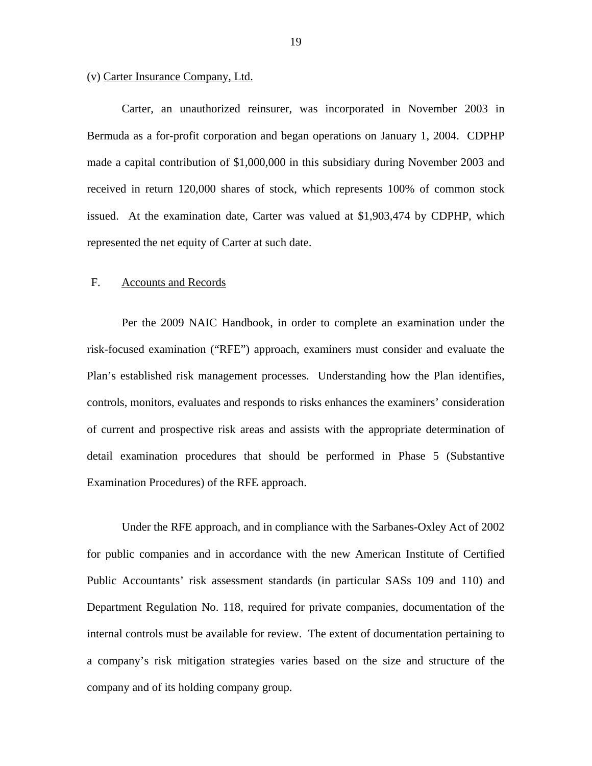# <span id="page-20-0"></span>(v) Carter Insurance Company, Ltd.

Carter, an unauthorized reinsurer, was incorporated in November 2003 in Bermuda as a for-profit corporation and began operations on January 1, 2004. CDPHP made a capital contribution of \$1,000,000 in this subsidiary during November 2003 and received in return 120,000 shares of stock, which represents 100% of common stock issued. At the examination date, Carter was valued at \$1,903,474 by CDPHP, which represented the net equity of Carter at such date.

# F. Accounts and Records

Per the 2009 NAIC Handbook, in order to complete an examination under the risk-focused examination ("RFE") approach, examiners must consider and evaluate the Plan's established risk management processes. Understanding how the Plan identifies, controls, monitors, evaluates and responds to risks enhances the examiners' consideration of current and prospective risk areas and assists with the appropriate determination of detail examination procedures that should be performed in Phase 5 (Substantive Examination Procedures) of the RFE approach.

Under the RFE approach, and in compliance with the Sarbanes-Oxley Act of 2002 for public companies and in accordance with the new American Institute of Certified Public Accountants' risk assessment standards (in particular SASs 109 and 110) and Department Regulation No. 118, required for private companies, documentation of the internal controls must be available for review. The extent of documentation pertaining to a company's risk mitigation strategies varies based on the size and structure of the company and of its holding company group.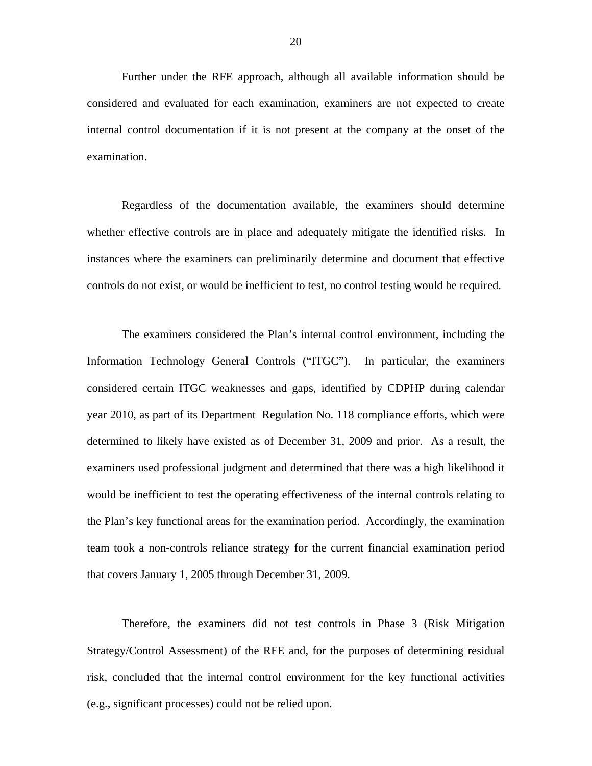Further under the RFE approach, although all available information should be considered and evaluated for each examination, examiners are not expected to create internal control documentation if it is not present at the company at the onset of the examination.

Regardless of the documentation available, the examiners should determine whether effective controls are in place and adequately mitigate the identified risks. In instances where the examiners can preliminarily determine and document that effective controls do not exist, or would be inefficient to test, no control testing would be required.

The examiners considered the Plan's internal control environment, including the Information Technology General Controls ("ITGC"). In particular, the examiners considered certain ITGC weaknesses and gaps, identified by CDPHP during calendar year 2010, as part of its Department Regulation No. 118 compliance efforts, which were determined to likely have existed as of December 31, 2009 and prior. As a result, the examiners used professional judgment and determined that there was a high likelihood it would be inefficient to test the operating effectiveness of the internal controls relating to the Plan's key functional areas for the examination period. Accordingly, the examination team took a non-controls reliance strategy for the current financial examination period that covers January 1, 2005 through December 31, 2009.

Therefore, the examiners did not test controls in Phase 3 (Risk Mitigation Strategy/Control Assessment) of the RFE and, for the purposes of determining residual risk, concluded that the internal control environment for the key functional activities (e.g., significant processes) could not be relied upon.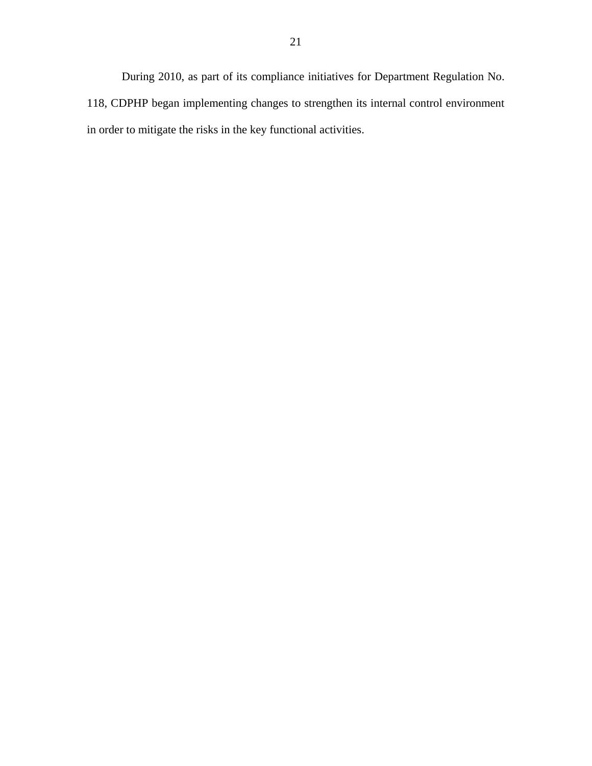During 2010, as part of its compliance initiatives for Department Regulation No. 118, CDPHP began implementing changes to strengthen its internal control environment in order to mitigate the risks in the key functional activities.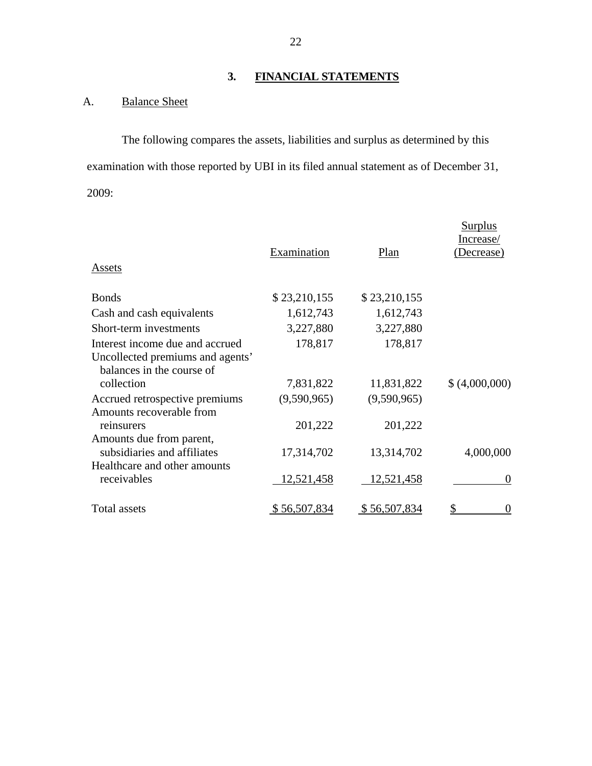# **3. FINANCIAL STATEMENTS**

# A. Balance Sheet

The following compares the assets, liabilities and surplus as determined by this examination with those reported by UBI in its filed annual statement as of December 31, 2009:

| Assets                                                        | Examination  | Plan         | Surplus<br>Increase/<br>Decrease) |
|---------------------------------------------------------------|--------------|--------------|-----------------------------------|
| <b>Bonds</b>                                                  | \$23,210,155 | \$23,210,155 |                                   |
| Cash and cash equivalents                                     | 1,612,743    | 1,612,743    |                                   |
| Short-term investments                                        | 3,227,880    | 3,227,880    |                                   |
| Interest income due and accrued                               | 178,817      | 178,817      |                                   |
| Uncollected premiums and agents'<br>balances in the course of |              |              |                                   |
| collection                                                    | 7,831,822    | 11,831,822   | \$ (4,000,000)                    |
| Accrued retrospective premiums<br>Amounts recoverable from    | (9,590,965)  | (9,590,965)  |                                   |
| reinsurers                                                    | 201,222      | 201,222      |                                   |
| Amounts due from parent,<br>subsidiaries and affiliates       | 17,314,702   | 13,314,702   | 4,000,000                         |
| Healthcare and other amounts<br>receivables                   | 12,521,458   | 12,521,458   | $\overline{0}$                    |
| <b>Total assets</b>                                           | \$56,507,834 | \$56,507,834 | \$<br>$\Omega$                    |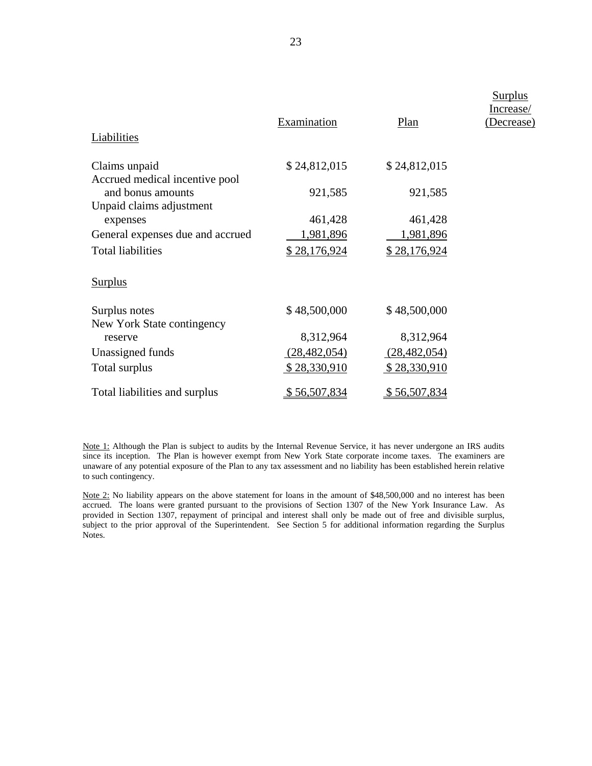| Liabilities                          | Examination    | Plan           | <b>Surplus</b><br>Increase/<br>(Decrease) |
|--------------------------------------|----------------|----------------|-------------------------------------------|
|                                      |                |                |                                           |
| Claims unpaid                        | \$24,812,015   | \$24,812,015   |                                           |
| Accrued medical incentive pool       |                |                |                                           |
| and bonus amounts                    | 921,585        | 921,585        |                                           |
| Unpaid claims adjustment<br>expenses | 461,428        | 461,428        |                                           |
| General expenses due and accrued     | 1,981,896      | 1,981,896      |                                           |
| <b>Total liabilities</b>             | \$28,176,924   | \$28,176,924   |                                           |
|                                      |                |                |                                           |
| <b>Surplus</b>                       |                |                |                                           |
| Surplus notes                        | \$48,500,000   | \$48,500,000   |                                           |
| New York State contingency           |                |                |                                           |
| reserve                              | 8,312,964      | 8,312,964      |                                           |
| Unassigned funds                     | (28, 482, 054) | (28, 482, 054) |                                           |
| Total surplus                        | \$28,330,910   | \$28,330,910   |                                           |
| Total liabilities and surplus        | \$56,507,834   | \$56,507,834   |                                           |

Note 1: Although the Plan is subject to audits by the Internal Revenue Service, it has never undergone an IRS audits since its inception. The Plan is however exempt from New York State corporate income taxes. The examiners are unaware of any potential exposure of the Plan to any tax assessment and no liability has been established herein relative to such contingency.

Note 2: No liability appears on the above statement for loans in the amount of \$48,500,000 and no interest has been accrued. The loans were granted pursuant to the provisions of Section 1307 of the New York Insurance Law. As provided in Section 1307, repayment of principal and interest shall only be made out of free and divisible surplus, subject to the prior approval of the Superintendent. See Section 5 for additional information regarding the Surplus Notes.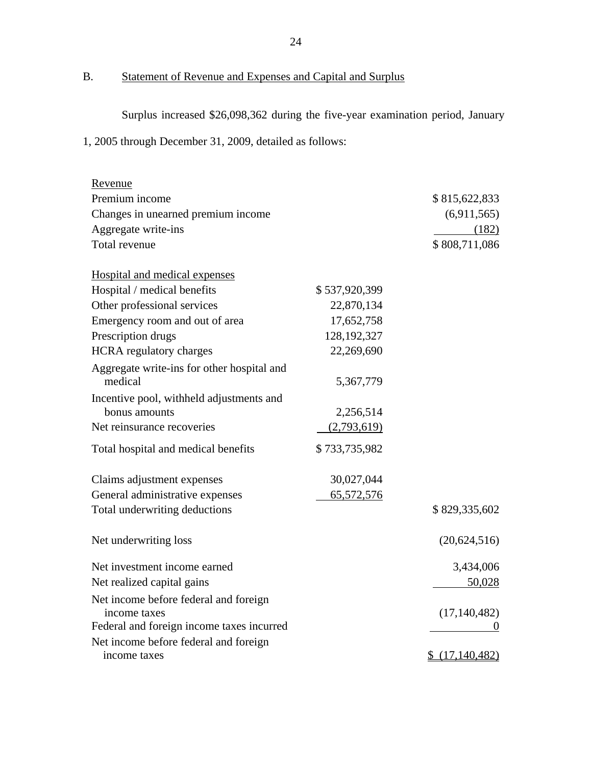B. Statement of Revenue and Expenses and Capital and Surplus

Surplus increased \$26,098,362 during the five-year examination period, January

1, 2005 through December 31, 2009, detailed as follows:

| Revenue                                               |               |                |
|-------------------------------------------------------|---------------|----------------|
| Premium income                                        |               | \$815,622,833  |
| Changes in unearned premium income                    |               | (6,911,565)    |
| Aggregate write-ins                                   |               | (182)          |
| Total revenue                                         |               | \$808,711,086  |
| Hospital and medical expenses                         |               |                |
| Hospital / medical benefits                           | \$537,920,399 |                |
| Other professional services                           | 22,870,134    |                |
| Emergency room and out of area                        | 17,652,758    |                |
| Prescription drugs                                    | 128, 192, 327 |                |
| <b>HCRA</b> regulatory charges                        | 22,269,690    |                |
| Aggregate write-ins for other hospital and<br>medical | 5,367,779     |                |
| Incentive pool, withheld adjustments and              |               |                |
| bonus amounts                                         | 2,256,514     |                |
| Net reinsurance recoveries                            | (2,793,619)   |                |
| Total hospital and medical benefits                   | \$733,735,982 |                |
| Claims adjustment expenses                            | 30,027,044    |                |
| General administrative expenses                       | 65,572,576    |                |
| Total underwriting deductions                         |               | \$829,335,602  |
| Net underwriting loss                                 |               | (20,624,516)   |
| Net investment income earned                          |               | 3,434,006      |
| Net realized capital gains                            |               | 50,028         |
| Net income before federal and foreign                 |               |                |
| income taxes                                          |               | (17, 140, 482) |
| Federal and foreign income taxes incurred             |               |                |
| Net income before federal and foreign                 |               |                |
| income taxes                                          |               | \$(17,140,482) |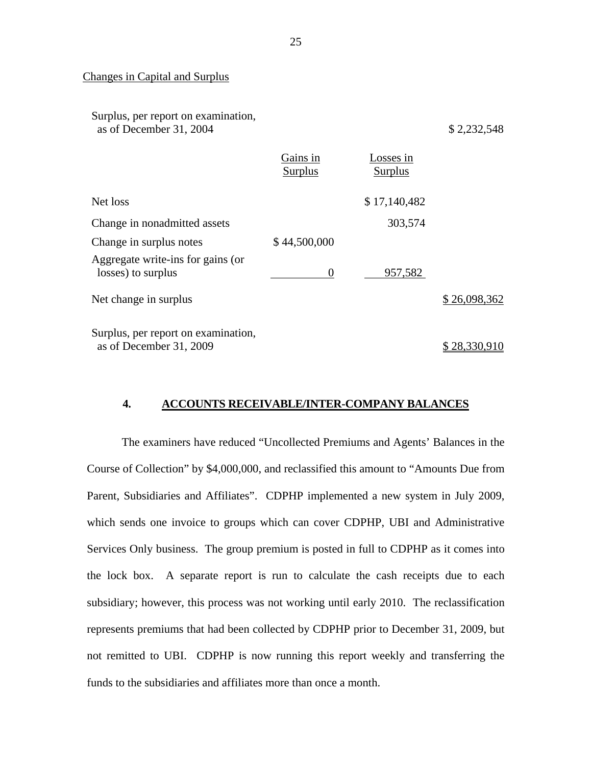# Changes in Capital and Surplus

Surplus, per report on examination, as of December 31, 2004 \$ 2,232,548

|                                                                | Gains in<br>Surplus | Losses in<br>Surplus |              |
|----------------------------------------------------------------|---------------------|----------------------|--------------|
| Net loss                                                       |                     | \$17,140,482         |              |
| Change in nonadmitted assets                                   |                     | 303,574              |              |
| Change in surplus notes                                        | \$44,500,000        |                      |              |
| Aggregate write-ins for gains (or<br>losses) to surplus        | $\theta$            | 957,582              |              |
| Net change in surplus                                          |                     |                      | \$26,098,362 |
| Surplus, per report on examination,<br>as of December 31, 2009 |                     |                      | \$28,330,910 |

## **4. ACCOUNTS RECEIVABLE/INTER-COMPANY BALANCES**

The examiners have reduced "Uncollected Premiums and Agents' Balances in the Course of Collection" by \$4,000,000, and reclassified this amount to "Amounts Due from Parent, Subsidiaries and Affiliates". CDPHP implemented a new system in July 2009, which sends one invoice to groups which can cover CDPHP, UBI and Administrative Services Only business. The group premium is posted in full to CDPHP as it comes into the lock box. A separate report is run to calculate the cash receipts due to each subsidiary; however, this process was not working until early 2010. The reclassification represents premiums that had been collected by CDPHP prior to December 31, 2009, but not remitted to UBI. CDPHP is now running this report weekly and transferring the funds to the subsidiaries and affiliates more than once a month.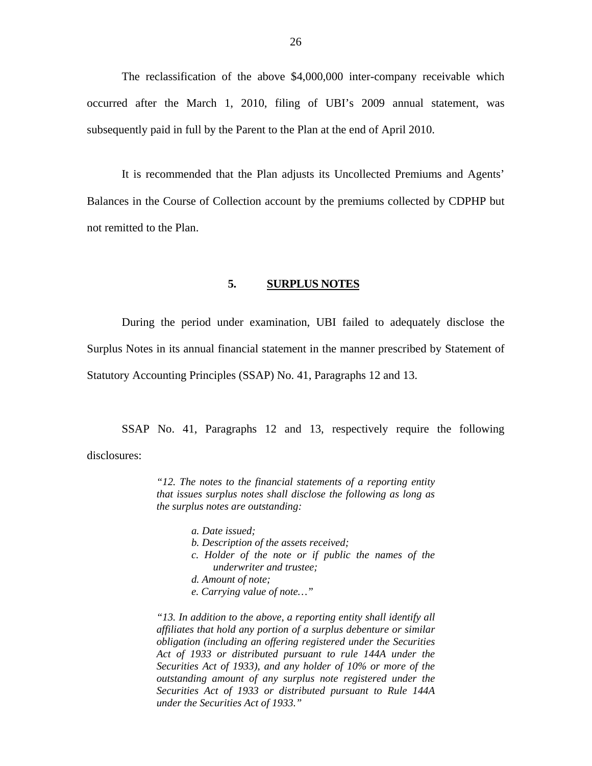<span id="page-27-0"></span>The reclassification of the above \$4,000,000 inter-company receivable which occurred after the March 1, 2010, filing of UBI's 2009 annual statement, was subsequently paid in full by the Parent to the Plan at the end of April 2010.

It is recommended that the Plan adjusts its Uncollected Premiums and Agents' Balances in the Course of Collection account by the premiums collected by CDPHP but not remitted to the Plan.

#### **5. SURPLUS NOTES**

During the period under examination, UBI failed to adequately disclose the Surplus Notes in its annual financial statement in the manner prescribed by Statement of Statutory Accounting Principles (SSAP) No. 41, Paragraphs 12 and 13.

SSAP No. 41, Paragraphs 12 and 13, respectively require the following disclosures:

> *"12. The notes to the financial statements of a reporting entity that issues surplus notes shall disclose the following as long as the surplus notes are outstanding:*

- *a. Date issued;*
- *b. Description of the assets received;*
- *c. Holder of the note or if public the names of the underwriter and trustee;*
- *d. Amount of note;*
- *e. Carrying value of note…"*

*"13. In addition to the above, a reporting entity shall identify all affiliates that hold any portion of a surplus debenture or similar obligation (including an offering registered under the Securities Act of 1933 or distributed pursuant to rule 144A under the Securities Act of 1933), and any holder of 10% or more of the outstanding amount of any surplus note registered under the Securities Act of 1933 or distributed pursuant to Rule 144A under the Securities Act of 1933."*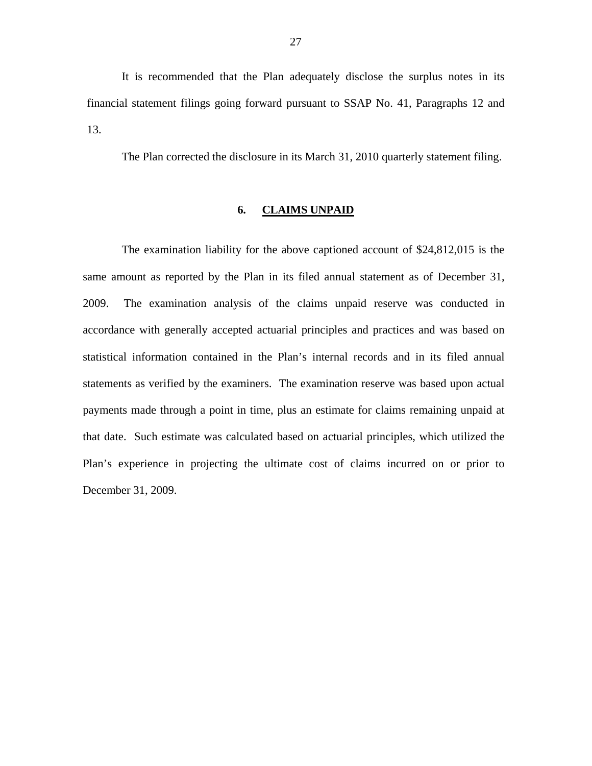<span id="page-28-0"></span>It is recommended that the Plan adequately disclose the surplus notes in its financial statement filings going forward pursuant to SSAP No. 41, Paragraphs 12 and 13.

The Plan corrected the disclosure in its March 31, 2010 quarterly statement filing.

# **6. CLAIMS UNPAID**

The examination liability for the above captioned account of \$24,812,015 is the same amount as reported by the Plan in its filed annual statement as of December 31, 2009. The examination analysis of the claims unpaid reserve was conducted in accordance with generally accepted actuarial principles and practices and was based on statistical information contained in the Plan's internal records and in its filed annual statements as verified by the examiners. The examination reserve was based upon actual payments made through a point in time, plus an estimate for claims remaining unpaid at that date. Such estimate was calculated based on actuarial principles, which utilized the Plan's experience in projecting the ultimate cost of claims incurred on or prior to December 31, 2009.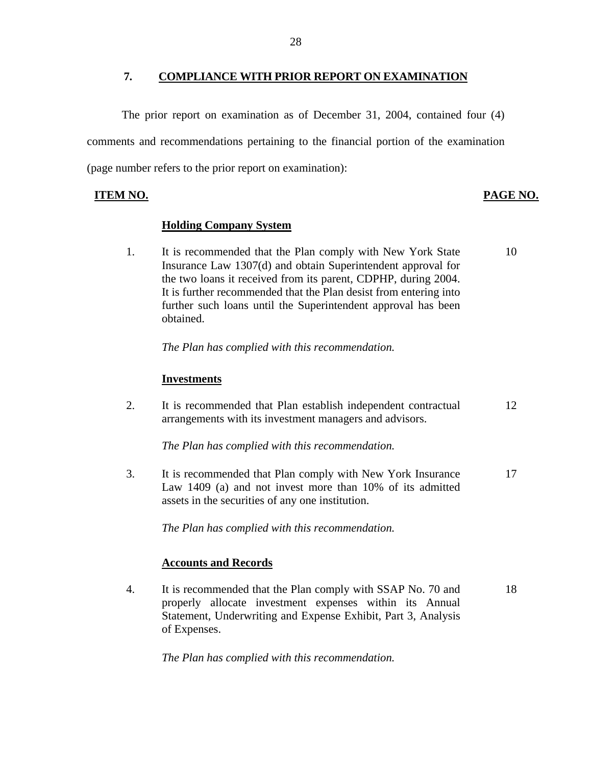# **7. COMPLIANCE WITH PRIOR REPORT ON EXAMINATION**

<span id="page-29-0"></span>The prior report on examination as of December 31, 2004, contained four (4) comments and recommendations pertaining to the financial portion of the examination (page number refers to the prior report on examination):

**PAGE NO. PAGE NO.** 

# **Holding Company System**

1. It is recommended that the Plan comply with New York State 10 Insurance Law 1307(d) and obtain Superintendent approval for the two loans it received from its parent, CDPHP, during 2004. It is further recommended that the Plan desist from entering into further such loans until the Superintendent approval has been obtained.

*The Plan has complied with this recommendation.* 

# **Investments**

2. It is recommended that Plan establish independent contractual 12 arrangements with its investment managers and advisors.

*The Plan has complied with this recommendation.* 

3. It is recommended that Plan comply with New York Insurance 17 Law 1409 (a) and not invest more than 10% of its admitted assets in the securities of any one institution.

*The Plan has complied with this recommendation.* 

# **Accounts and Records**

4. It is recommended that the Plan comply with SSAP No. 70 and 18 properly allocate investment expenses within its Annual Statement, Underwriting and Expense Exhibit, Part 3, Analysis of Expenses.

*The Plan has complied with this recommendation.*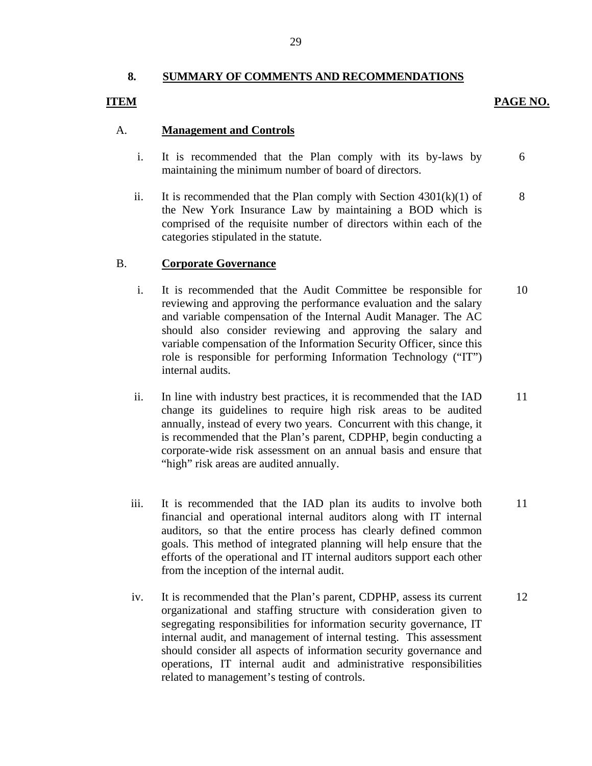# **8. SUMMARY OF COMMENTS AND RECOMMENDATIONS**

# **ITEM**

# PAGE NO.

# A. **Management and Controls**

- i. It is recommended that the Plan comply with its by-laws by maintaining the minimum number of board of directors. 6
- ii. It is recommended that the Plan comply with Section  $4301(k)(1)$  of the New York Insurance Law by maintaining a BOD which is comprised of the requisite number of directors within each of the categories stipulated in the statute. 8

# B. **Corporate Governance**

- i. It is recommended that the Audit Committee be responsible for reviewing and approving the performance evaluation and the salary and variable compensation of the Internal Audit Manager. The AC should also consider reviewing and approving the salary and variable compensation of the Information Security Officer, since this role is responsible for performing Information Technology ("IT") internal audits. 10
- ii. In line with industry best practices, it is recommended that the IAD change its guidelines to require high risk areas to be audited annually, instead of every two years. Concurrent with this change, it is recommended that the Plan's parent, CDPHP, begin conducting a corporate-wide risk assessment on an annual basis and ensure that "high" risk areas are audited annually. 11
- iii. It is recommended that the IAD plan its audits to involve both financial and operational internal auditors along with IT internal auditors, so that the entire process has clearly defined common goals. This method of integrated planning will help ensure that the efforts of the operational and IT internal auditors support each other from the inception of the internal audit. 11
- iv. It is recommended that the Plan's parent, CDPHP, assess its current organizational and staffing structure with consideration given to segregating responsibilities for information security governance, IT internal audit, and management of internal testing. This assessment should consider all aspects of information security governance and operations, IT internal audit and administrative responsibilities related to management's testing of controls. 12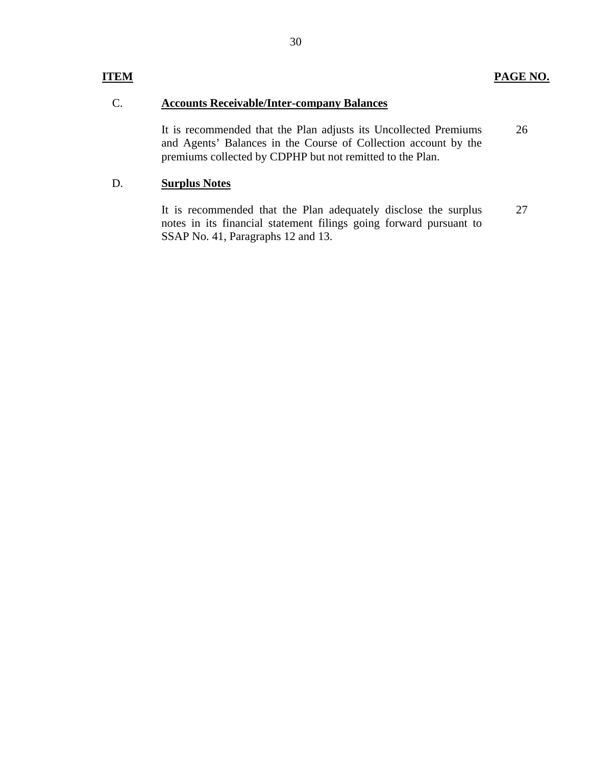# **ITEM PAGE NO.**

# C. **Accounts Receivable/Inter-company Balances**

It is recommended that the Plan adjusts its Uncollected Premiums and Agents' Balances in the Course of Collection account by the premiums collected by CDPHP but not remitted to the Plan. 26

# D. **Surplus Notes**

It is recommended that the Plan adequately disclose the surplus notes in its financial statement filings going forward pursuant to SSAP No. 41, Paragraphs 12 and 13. 27